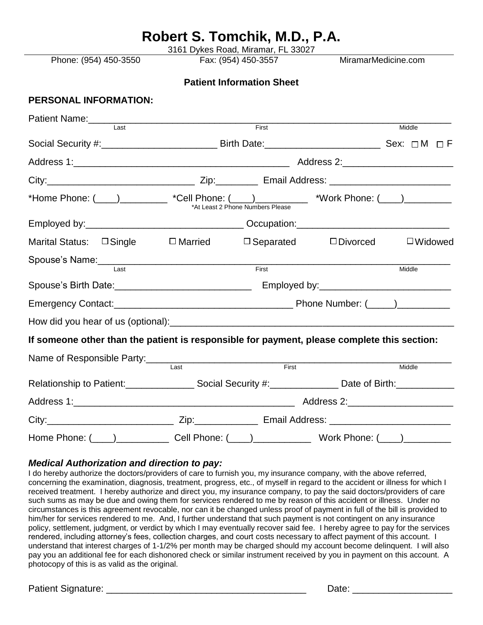|                                                                                                                                                                                                                                   |                | <b>Patient Information Sheet</b> |                                                    |                |
|-----------------------------------------------------------------------------------------------------------------------------------------------------------------------------------------------------------------------------------|----------------|----------------------------------|----------------------------------------------------|----------------|
| <b>PERSONAL INFORMATION:</b>                                                                                                                                                                                                      |                |                                  |                                                    |                |
| Patient Name:<br>Last                                                                                                                                                                                                             |                | First                            |                                                    | Middle         |
| Social Security #: __________________________________ Birth Date: __________________________________ Sex: □M □F                                                                                                                   |                |                                  |                                                    |                |
|                                                                                                                                                                                                                                   |                |                                  |                                                    |                |
|                                                                                                                                                                                                                                   |                |                                  |                                                    |                |
|                                                                                                                                                                                                                                   |                | *At Least 2 Phone Numbers Please |                                                    |                |
|                                                                                                                                                                                                                                   |                |                                  |                                                    |                |
| Marital Status: $\square$ Single                                                                                                                                                                                                  | $\Box$ Married | $\Box$ Separated                 | $\Box$ Divorced                                    | $\Box$ Widowed |
| Spouse's Name:<br>Last Contract Contract Contract Contract Contract Contract Contract Contract Contract Contract Contract Contract Contract Contract Contract Contract Contract Contract Contract Contract Contract Contract Cont |                | First                            | <u> 1980 - John Stein, Amerikaansk politiker (</u> | Middle         |
|                                                                                                                                                                                                                                   |                |                                  |                                                    |                |
|                                                                                                                                                                                                                                   |                |                                  |                                                    |                |
|                                                                                                                                                                                                                                   |                |                                  |                                                    |                |
| If someone other than the patient is responsible for payment, please complete this section:                                                                                                                                       |                |                                  |                                                    |                |
| Name of Responsible Party:<br>Last First First                                                                                                                                                                                    |                |                                  |                                                    |                |
|                                                                                                                                                                                                                                   |                |                                  |                                                    | Middle         |
| Relationship to Patient:_______________________Social Security #:______________________Date of Birth:____________                                                                                                                 |                |                                  |                                                    |                |
|                                                                                                                                                                                                                                   |                |                                  |                                                    |                |
|                                                                                                                                                                                                                                   |                |                                  |                                                    |                |
|                                                                                                                                                                                                                                   |                |                                  |                                                    |                |

### *Medical Authorization and direction to pay:*

I do hereby authorize the doctors/providers of care to furnish you, my insurance company, with the above referred, concerning the examination, diagnosis, treatment, progress, etc., of myself in regard to the accident or illness for which I received treatment. I hereby authorize and direct you, my insurance company, to pay the said doctors/providers of care such sums as may be due and owing them for services rendered to me by reason of this accident or illness. Under no circumstances is this agreement revocable, nor can it be changed unless proof of payment in full of the bill is provided to him/her for services rendered to me. And, I further understand that such payment is not contingent on any insurance policy, settlement, judgment, or verdict by which I may eventually recover said fee. I hereby agree to pay for the services rendered, including attorney's fees, collection charges, and court costs necessary to affect payment of this account. I understand that interest charges of 1-1/2% per month may be charged should my account become delinquent. I will also pay you an additional fee for each dishonored check or similar instrument received by you in payment on this account. A photocopy of this is as valid as the original.

Patient Signature: \_\_\_\_\_\_\_\_\_\_\_\_\_\_\_\_\_\_\_\_\_\_\_\_\_\_\_\_\_\_\_\_\_\_\_\_\_\_ Date: \_\_\_\_\_\_\_\_\_\_\_\_\_\_\_\_\_\_\_

| bert S. Tomchik, M.D., P.A         |  |  |
|------------------------------------|--|--|
| 3161 Dykes Road, Miramar, FL 33027 |  |  |

Phone: (954) 450-3550 Fax: (954) 450-3557 MiramarMedicine.com

|  | Robert S. Tomchik, M.D., P.A. |  |
|--|-------------------------------|--|
|  |                               |  |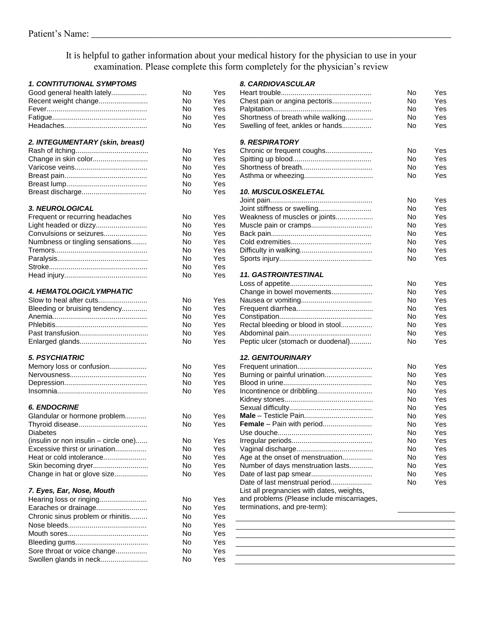It is helpful to gather information about your medical history for the physician to use in your examination. Please complete this form completely for the physician's review

| <b>1. CONTITUTIONAL SYMPTOMS</b>      |           |     | <b>8. CARDIOVASCULAR</b>                   |    |     |
|---------------------------------------|-----------|-----|--------------------------------------------|----|-----|
| Good general health lately            | No        | Yes |                                            | No | Yes |
| Recent weight change                  | No        | Yes | Chest pain or angina pectoris              | No | Yes |
|                                       | No.       | Yes |                                            | No | Yes |
|                                       | No        | Yes | Shortness of breath while walking          | No | Yes |
|                                       | No        | Yes | Swelling of feet, ankles or hands          | No | Yes |
| 2. INTEGUMENTARY (skin, breast)       |           |     | 9. RESPIRATORY                             |    |     |
|                                       | No        | Yes | Chronic or frequent coughs                 | No | Yes |
| Change in skin color                  | No        | Yes |                                            | No | Yes |
|                                       | No.       | Yes |                                            | No | Yes |
|                                       | No.       | Yes |                                            | No | Yes |
|                                       | No        | Yes |                                            |    |     |
| Breast discharge                      | No        | Yes | 10. MUSCULOSKELETAL                        |    |     |
|                                       |           |     |                                            | No | Yes |
| <b>3. NEUROLOGICAL</b>                |           |     | Joint stiffness or swelling                | No | Yes |
| Frequent or recurring headaches       | No.       | Yes | Weakness of muscles or joints              | No | Yes |
| Light headed or dizzy                 | No        | Yes |                                            | No | Yes |
| Convulsions or seizures               | No        | Yes |                                            | No | Yes |
| Numbness or tingling sensations       | No.       | Yes |                                            | No | Yes |
|                                       | No        | Yes |                                            | No | Yes |
|                                       | No        | Yes |                                            | No | Yes |
|                                       | No        | Yes |                                            |    |     |
|                                       | No        | Yes | <b>11. GASTROINTESTINAL</b>                |    |     |
|                                       |           |     |                                            | No | Yes |
| 4. HEMATOLOGIC/LYMPHATIC              |           |     | Change in bowel movements                  | No | Yes |
| Slow to heal after cuts               | No        | Yes |                                            | No | Yes |
|                                       | No.       | Yes |                                            | No | Yes |
| Bleeding or bruising tendency         |           | Yes |                                            |    | Yes |
|                                       | No.<br>No | Yes |                                            | No | Yes |
|                                       |           |     | Rectal bleeding or blood in stool          | No |     |
|                                       | No        | Yes |                                            | No | Yes |
| Enlarged glands                       | No        | Yes | Peptic ulcer (stomach or duodenal)         | No | Yes |
| <b>5. PSYCHIATRIC</b>                 |           |     | <b>12. GENITOURINARY</b>                   |    |     |
| Memory loss or confusion              | No        | Yes |                                            | No | Yes |
|                                       | No        | Yes | Burning or painful urination               | No | Yes |
|                                       | No        | Yes |                                            | No | Yes |
|                                       | No        | Yes | Incontinence or dribbling                  | No | Yes |
|                                       |           |     |                                            | No | Yes |
| <b>6. ENDOCRINE</b>                   |           |     |                                            | No | Yes |
| Glandular or hormone problem          | No.       | Yes |                                            | No | Yes |
|                                       | No        | Yes | <b>Female</b> – Pain with period           | No | Yes |
| <b>Diabetes</b>                       |           |     |                                            | No | Yes |
| (insulin or non insulin – circle one) | No.       | Yes |                                            | No | Yes |
| Excessive thirst or urination         | No.       | Yes |                                            | No | Yes |
| Heat or cold intolerance              | No.       | Yes | Age at the onset of menstruation           | No | Yes |
| Skin becoming dryer                   | No.       | Yes | Number of days menstruation lasts          | No | Yes |
| Change in hat or glove size           | No.       | Yes |                                            | No | Yes |
|                                       |           |     | Date of last menstrual period              | No | Yes |
| 7. Eyes, Ear, Nose, Mouth             |           |     | List all pregnancies with dates, weights,  |    |     |
| Hearing loss or ringing               | No.       | Yes | and problems (Please include miscarriages, |    |     |
| Earaches or drainage                  | No.       | Yes | terminations, and pre-term):               |    |     |
| Chronic sinus problem or rhinitis     | No.       | Yes |                                            |    |     |
|                                       | No        | Yes |                                            |    |     |
|                                       | No.       | Yes |                                            |    |     |
|                                       | No.       | Yes |                                            |    |     |
|                                       |           |     |                                            |    |     |
| Sore throat or voice change           | No.       | Yes |                                            |    |     |
| Swollen glands in neck                | No.       | Yes |                                            |    |     |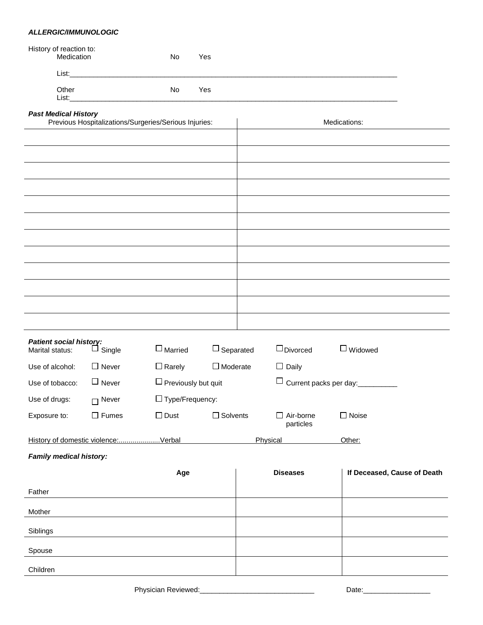### *ALLERGIC/IMMUNOLOGIC*

| History of reaction to:                    |                                                       |                            |                    |          |                                     |                             |
|--------------------------------------------|-------------------------------------------------------|----------------------------|--------------------|----------|-------------------------------------|-----------------------------|
| Medication                                 |                                                       | No                         | Yes                |          |                                     |                             |
|                                            |                                                       |                            |                    |          |                                     |                             |
| Other                                      |                                                       | No                         | Yes                |          |                                     |                             |
| <b>Past Medical History</b>                |                                                       |                            |                    |          |                                     |                             |
|                                            | Previous Hospitalizations/Surgeries/Serious Injuries: |                            |                    |          |                                     | Medications:                |
|                                            |                                                       |                            |                    |          |                                     |                             |
|                                            |                                                       |                            |                    |          |                                     |                             |
|                                            |                                                       |                            |                    |          |                                     |                             |
|                                            |                                                       |                            |                    |          |                                     |                             |
|                                            |                                                       |                            |                    |          |                                     |                             |
|                                            |                                                       |                            |                    |          |                                     |                             |
|                                            |                                                       |                            |                    |          |                                     |                             |
|                                            |                                                       |                            |                    |          |                                     |                             |
|                                            |                                                       |                            |                    |          |                                     |                             |
|                                            |                                                       |                            |                    |          |                                     |                             |
|                                            |                                                       |                            |                    |          |                                     |                             |
|                                            |                                                       |                            |                    |          |                                     |                             |
| Patient social history:<br>Marital status: | $\Box$ Single                                         | $\Box$ Married             | $\Box$ Separated   |          | $\Box$ Divorced                     | $\Box$ Widowed              |
| Use of alcohol:                            | $\Box$ Never                                          | $\Box$ Rarely              | $\Box$ Moderate    |          | $\Box$ Daily                        |                             |
| Use of tobacco:                            | $\Box$ Never                                          | $\Box$ Previously but quit |                    |          | □ Current packs per day: __________ |                             |
| Use of drugs:                              | $\Box$ Never                                          | □ Type/Frequency:          |                    |          |                                     |                             |
| Exposure to:                               | $\Box$ Fumes                                          | $\square$ Dust             | $\square$ Solvents |          | □ Air-borne<br>particles            | $\square$ Noise             |
|                                            | History of domestic violence:Verbal                   |                            |                    | Physical |                                     | Other:                      |
| <b>Family medical history:</b>             |                                                       |                            |                    |          |                                     |                             |
|                                            |                                                       | Age                        |                    |          | <b>Diseases</b>                     | If Deceased, Cause of Death |
| Father                                     |                                                       |                            |                    |          |                                     |                             |
| Mother                                     |                                                       |                            |                    |          |                                     |                             |
| Siblings                                   |                                                       |                            |                    |          |                                     |                             |

Spouse

Children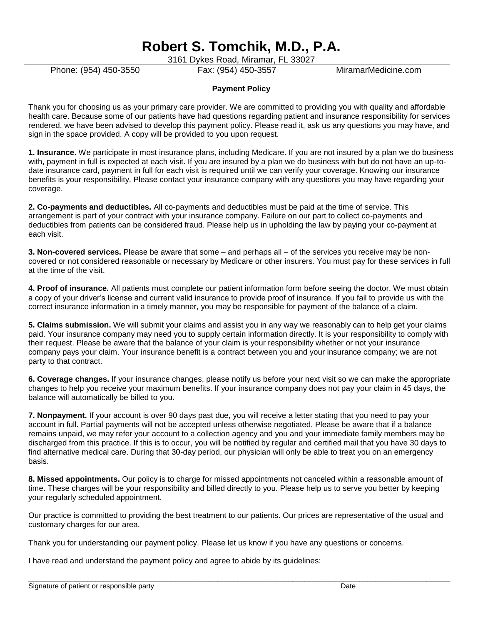3161 Dykes Road, Miramar, FL 33027

Phone: (954) 450-3550 Fax: (954) 450-3557 MiramarMedicine.com

#### **Payment Policy**

Thank you for choosing us as your primary care provider. We are committed to providing you with quality and affordable health care. Because some of our patients have had questions regarding patient and insurance responsibility for services rendered, we have been advised to develop this payment policy. Please read it, ask us any questions you may have, and sign in the space provided. A copy will be provided to you upon request.

**1. Insurance.** We participate in most insurance plans, including Medicare. If you are not insured by a plan we do business with, payment in full is expected at each visit. If you are insured by a plan we do business with but do not have an up-todate insurance card, payment in full for each visit is required until we can verify your coverage. Knowing our insurance benefits is your responsibility. Please contact your insurance company with any questions you may have regarding your coverage.

**2. Co-payments and deductibles.** All co-payments and deductibles must be paid at the time of service. This arrangement is part of your contract with your insurance company. Failure on our part to collect co-payments and deductibles from patients can be considered fraud. Please help us in upholding the law by paying your co-payment at each visit.

**3. Non-covered services.** Please be aware that some – and perhaps all – of the services you receive may be noncovered or not considered reasonable or necessary by Medicare or other insurers. You must pay for these services in full at the time of the visit.

**4. Proof of insurance.** All patients must complete our patient information form before seeing the doctor. We must obtain a copy of your driver's license and current valid insurance to provide proof of insurance. If you fail to provide us with the correct insurance information in a timely manner, you may be responsible for payment of the balance of a claim.

**5. Claims submission.** We will submit your claims and assist you in any way we reasonably can to help get your claims paid. Your insurance company may need you to supply certain information directly. It is your responsibility to comply with their request. Please be aware that the balance of your claim is your responsibility whether or not your insurance company pays your claim. Your insurance benefit is a contract between you and your insurance company; we are not party to that contract.

**6. Coverage changes.** If your insurance changes, please notify us before your next visit so we can make the appropriate changes to help you receive your maximum benefits. If your insurance company does not pay your claim in 45 days, the balance will automatically be billed to you.

**7. Nonpayment.** If your account is over 90 days past due, you will receive a letter stating that you need to pay your account in full. Partial payments will not be accepted unless otherwise negotiated. Please be aware that if a balance remains unpaid, we may refer your account to a collection agency and you and your immediate family members may be discharged from this practice. If this is to occur, you will be notified by regular and certified mail that you have 30 days to find alternative medical care. During that 30-day period, our physician will only be able to treat you on an emergency basis.

**8. Missed appointments.** Our policy is to charge for missed appointments not canceled within a reasonable amount of time. These charges will be your responsibility and billed directly to you. Please help us to serve you better by keeping your regularly scheduled appointment.

Our practice is committed to providing the best treatment to our patients. Our prices are representative of the usual and customary charges for our area.

\_\_\_\_\_\_\_\_\_\_\_\_\_\_\_\_\_\_\_\_\_\_\_\_\_\_\_\_\_\_\_\_\_\_\_\_\_\_\_\_\_\_\_\_\_\_\_\_\_\_\_\_\_\_\_\_\_\_\_\_\_\_\_\_\_\_\_\_\_\_\_\_\_\_\_\_\_\_\_\_\_\_\_\_\_\_\_\_\_\_\_\_\_\_\_\_\_\_\_\_\_\_\_\_\_\_\_

Thank you for understanding our payment policy. Please let us know if you have any questions or concerns.

I have read and understand the payment policy and agree to abide by its guidelines: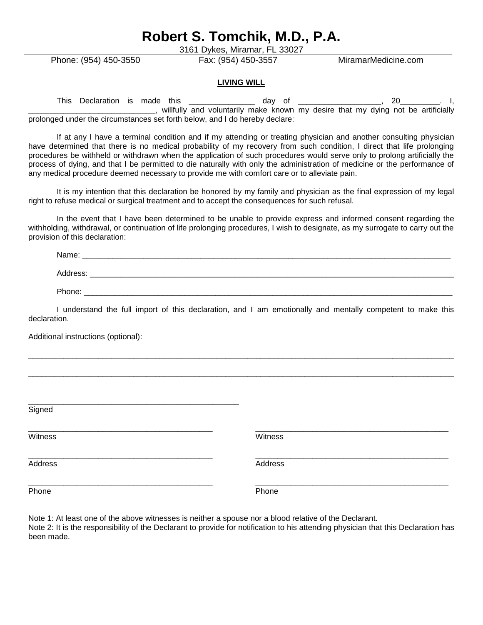3161 Dykes, Miramar, FL 33027

Phone: (954) 450-3550 Fax: (954) 450-3557 MiramarMedicine.com

#### **LIVING WILL**

This Declaration is made this \_\_\_\_\_\_\_\_\_\_\_\_\_\_\_ day of \_\_\_\_\_\_\_\_\_\_\_\_\_\_\_\_\_, 20\_\_\_\_\_\_\_\_\_. I, \_\_\_\_\_\_\_\_\_\_\_\_\_\_\_\_\_\_\_\_\_\_\_\_\_\_\_\_\_, willfully and voluntarily make known my desire that my dying not be artificially prolonged under the circumstances set forth below, and I do hereby declare:

If at any I have a terminal condition and if my attending or treating physician and another consulting physician have determined that there is no medical probability of my recovery from such condition, I direct that life prolonging procedures be withheld or withdrawn when the application of such procedures would serve only to prolong artificially the process of dying, and that I be permitted to die naturally with only the administration of medicine or the performance of any medical procedure deemed necessary to provide me with comfort care or to alleviate pain.

It is my intention that this declaration be honored by my family and physician as the final expression of my legal right to refuse medical or surgical treatment and to accept the consequences for such refusal.

In the event that I have been determined to be unable to provide express and informed consent regarding the withholding, withdrawal, or continuation of life prolonging procedures, I wish to designate, as my surrogate to carry out the provision of this declaration:

| Name:    |  |  |
|----------|--|--|
|          |  |  |
| Address: |  |  |
| Phone:   |  |  |

I understand the full import of this declaration, and I am emotionally and mentally competent to make this declaration.

\_\_\_\_\_\_\_\_\_\_\_\_\_\_\_\_\_\_\_\_\_\_\_\_\_\_\_\_\_\_\_\_\_\_\_\_\_\_\_\_\_\_\_\_\_\_\_\_\_\_\_\_\_\_\_\_\_\_\_\_\_\_\_\_\_\_\_\_\_\_\_\_\_\_\_\_\_\_\_\_\_\_\_\_\_\_\_\_\_\_\_\_\_\_\_\_\_

\_\_\_\_\_\_\_\_\_\_\_\_\_\_\_\_\_\_\_\_\_\_\_\_\_\_\_\_\_\_\_\_\_\_\_\_\_\_\_\_\_\_\_\_\_\_\_\_\_\_\_\_\_\_\_\_\_\_\_\_\_\_\_\_\_\_\_\_\_\_\_\_\_\_\_\_\_\_\_\_\_\_\_\_\_\_\_\_\_\_\_\_\_\_\_\_\_

Additional instructions (optional):

| Signed  |         |
|---------|---------|
| Witness | Witness |
| Address | Address |
| Phone   | Phone   |

Note 1: At least one of the above witnesses is neither a spouse nor a blood relative of the Declarant. Note 2: It is the responsibility of the Declarant to provide for notification to his attending physician that this Declaration has been made.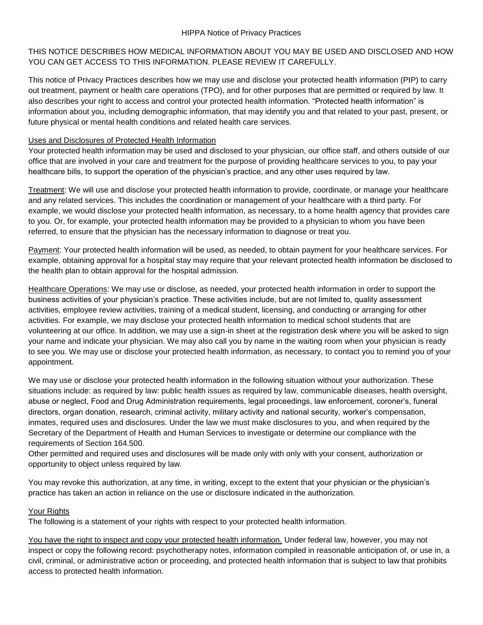THIS NOTICE DESCRIBES HOW MEDICAL INFORMATION ABOUT YOU MAY BE USED AND DISCLOSED AND HOW YOU CAN GET ACCESS TO THIS INFORMATION. PLEASE REVIEW IT CAREFULLY.

This notice of Privacy Practices describes how we may use and disclose your protected health information (PIP) to carry out treatment, payment or health care operations (TPO), and for other purposes that are permitted or required by law. It also describes your right to access and control your protected health information. "Protected health information" is information about you, including demographic information, that may identify you and that related to your past, present, or future physical or mental health conditions and related health care services.

#### Uses and Disclosures of Protected Health Information

Your protected health information may be used and disclosed to your physician, our office staff, and others outside of our office that are involved in your care and treatment for the purpose of providing healthcare services to you, to pay your healthcare bills, to support the operation of the physician's practice, and any other uses required by law.

Treatment: We will use and disclose your protected health information to provide, coordinate, or manage your healthcare and any related services. This includes the coordination or management of your healthcare with a third party. For example, we would disclose your protected health information, as necessary, to a home health agency that provides care to you. Or, for example, your protected health information may be provided to a physician to whom you have been referred, to ensure that the physician has the necessary information to diagnose or treat you.

Payment: Your protected health information will be used, as needed, to obtain payment for your healthcare services. For example, obtaining approval for a hospital stay may require that your relevant protected health information be disclosed to the health plan to obtain approval for the hospital admission.

Healthcare Operations: We may use or disclose, as needed, your protected health information in order to support the business activities of your physician's practice. These activities include, but are not limited to, quality assessment activities, employee review activities, training of a medical student, licensing, and conducting or arranging for other activities. For example, we may disclose your protected health information to medical school students that are volunteering at our office. In addition, we may use a sign-in sheet at the registration desk where you will be asked to sign your name and indicate your physician. We may also call you by name in the waiting room when your physician is ready to see you. We may use or disclose your protected health information, as necessary, to contact you to remind you of your appointment.

We may use or disclose your protected health information in the following situation without your authorization. These situations include: as required by law: public health issues as required by law, communicable diseases, health oversight, abuse or neglect, Food and Drug Administration requirements, legal proceedings, law enforcement, coroner's, funeral directors, organ donation, research, criminal activity, military activity and national security, worker's compensation, inmates, required uses and disclosures. Under the law we must make disclosures to you, and when required by the Secretary of the Department of Health and Human Services to investigate or determine our compliance with the requirements of Section 164.500.

Other permitted and required uses and disclosures will be made only with only with your consent, authorization or opportunity to object unless required by law.

You may revoke this authorization, at any time, in writing, except to the extent that your physician or the physician's practice has taken an action in reliance on the use or disclosure indicated in the authorization.

#### Your Rights

The following is a statement of your rights with respect to your protected health information.

You have the right to inspect and copy your protected health information. Under federal law, however, you may not inspect or copy the following record: psychotherapy notes, information compiled in reasonable anticipation of, or use in, a civil, criminal, or administrative action or proceeding, and protected health information that is subject to law that prohibits access to protected health information.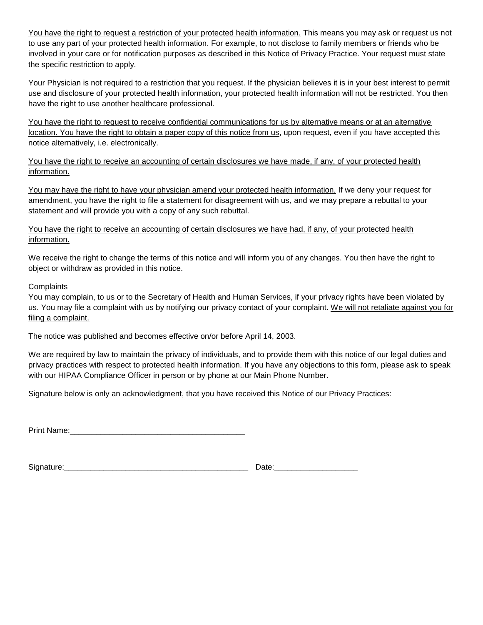You have the right to request a restriction of your protected health information. This means you may ask or request us not to use any part of your protected health information. For example, to not disclose to family members or friends who be involved in your care or for notification purposes as described in this Notice of Privacy Practice. Your request must state the specific restriction to apply.

Your Physician is not required to a restriction that you request. If the physician believes it is in your best interest to permit use and disclosure of your protected health information, your protected health information will not be restricted. You then have the right to use another healthcare professional.

You have the right to request to receive confidential communications for us by alternative means or at an alternative location. You have the right to obtain a paper copy of this notice from us, upon request, even if you have accepted this notice alternatively, i.e. electronically.

You have the right to receive an accounting of certain disclosures we have made, if any, of your protected health information.

You may have the right to have your physician amend your protected health information. If we deny your request for amendment, you have the right to file a statement for disagreement with us, and we may prepare a rebuttal to your statement and will provide you with a copy of any such rebuttal.

You have the right to receive an accounting of certain disclosures we have had, if any, of your protected health information.

We receive the right to change the terms of this notice and will inform you of any changes. You then have the right to object or withdraw as provided in this notice.

#### **Complaints**

You may complain, to us or to the Secretary of Health and Human Services, if your privacy rights have been violated by us. You may file a complaint with us by notifying our privacy contact of your complaint. We will not retaliate against you for filing a complaint.

The notice was published and becomes effective on/or before April 14, 2003.

We are required by law to maintain the privacy of individuals, and to provide them with this notice of our legal duties and privacy practices with respect to protected health information. If you have any objections to this form, please ask to speak with our HIPAA Compliance Officer in person or by phone at our Main Phone Number.

Signature below is only an acknowledgment, that you have received this Notice of our Privacy Practices:

| Print Name: |  |  |
|-------------|--|--|
|             |  |  |

| ~  | - |
|----|---|
| ان |   |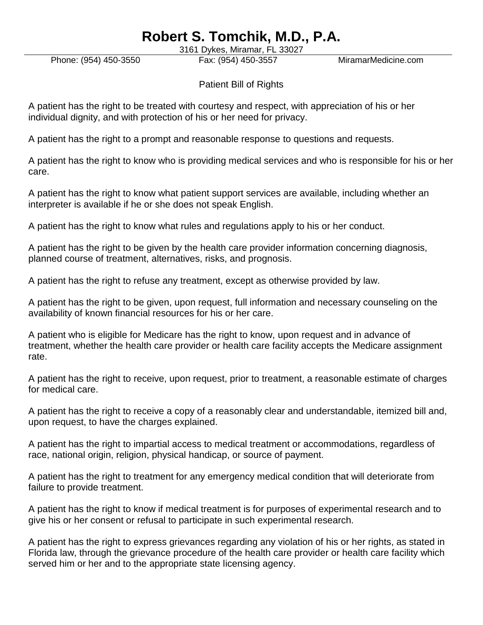3161 Dykes, Miramar, FL 33027

Phone: (954) 450-3550 Fax: (954) 450-3557 MiramarMedicine.com

Patient Bill of Rights

A patient has the right to be treated with courtesy and respect, with appreciation of his or her individual dignity, and with protection of his or her need for privacy.

A patient has the right to a prompt and reasonable response to questions and requests.

A patient has the right to know who is providing medical services and who is responsible for his or her care.

A patient has the right to know what patient support services are available, including whether an interpreter is available if he or she does not speak English.

A patient has the right to know what rules and regulations apply to his or her conduct.

A patient has the right to be given by the health care provider information concerning diagnosis, planned course of treatment, alternatives, risks, and prognosis.

A patient has the right to refuse any treatment, except as otherwise provided by law.

A patient has the right to be given, upon request, full information and necessary counseling on the availability of known financial resources for his or her care.

A patient who is eligible for Medicare has the right to know, upon request and in advance of treatment, whether the health care provider or health care facility accepts the Medicare assignment rate.

A patient has the right to receive, upon request, prior to treatment, a reasonable estimate of charges for medical care.

A patient has the right to receive a copy of a reasonably clear and understandable, itemized bill and, upon request, to have the charges explained.

A patient has the right to impartial access to medical treatment or accommodations, regardless of race, national origin, religion, physical handicap, or source of payment.

A patient has the right to treatment for any emergency medical condition that will deteriorate from failure to provide treatment.

A patient has the right to know if medical treatment is for purposes of experimental research and to give his or her consent or refusal to participate in such experimental research.

A patient has the right to express grievances regarding any violation of his or her rights, as stated in Florida law, through the grievance procedure of the health care provider or health care facility which served him or her and to the appropriate state licensing agency.